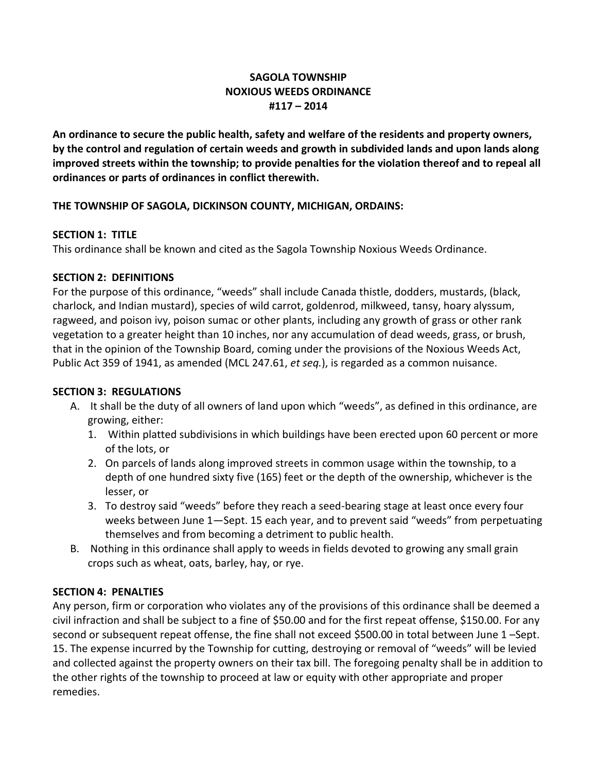# **SAGOLA TOWNSHIP NOXIOUS WEEDS ORDINANCE #117 – 2014**

**An ordinance to secure the public health, safety and welfare of the residents and property owners, by the control and regulation of certain weeds and growth in subdivided lands and upon lands along improved streets within the township; to provide penalties for the violation thereof and to repeal all ordinances or parts of ordinances in conflict therewith.**

# **THE TOWNSHIP OF SAGOLA, DICKINSON COUNTY, MICHIGAN, ORDAINS:**

### **SECTION 1: TITLE**

This ordinance shall be known and cited as the Sagola Township Noxious Weeds Ordinance.

### **SECTION 2: DEFINITIONS**

For the purpose of this ordinance, "weeds" shall include Canada thistle, dodders, mustards, (black, charlock, and Indian mustard), species of wild carrot, goldenrod, milkweed, tansy, hoary alyssum, ragweed, and poison ivy, poison sumac or other plants, including any growth of grass or other rank vegetation to a greater height than 10 inches, nor any accumulation of dead weeds, grass, or brush, that in the opinion of the Township Board, coming under the provisions of the Noxious Weeds Act, Public Act 359 of 1941, as amended (MCL 247.61, *et seq.*), is regarded as a common nuisance.

### **SECTION 3: REGULATIONS**

- A. It shall be the duty of all owners of land upon which "weeds", as defined in this ordinance, are growing, either:
	- 1. Within platted subdivisions in which buildings have been erected upon 60 percent or more of the lots, or
	- 2. On parcels of lands along improved streets in common usage within the township, to a depth of one hundred sixty five (165) feet or the depth of the ownership, whichever is the lesser, or
	- 3. To destroy said "weeds" before they reach a seed-bearing stage at least once every four weeks between June 1—Sept. 15 each year, and to prevent said "weeds" from perpetuating themselves and from becoming a detriment to public health.
- B. Nothing in this ordinance shall apply to weeds in fields devoted to growing any small grain crops such as wheat, oats, barley, hay, or rye.

# **SECTION 4: PENALTIES**

Any person, firm or corporation who violates any of the provisions of this ordinance shall be deemed a civil infraction and shall be subject to a fine of \$50.00 and for the first repeat offense, \$150.00. For any second or subsequent repeat offense, the fine shall not exceed \$500.00 in total between June 1 –Sept. 15. The expense incurred by the Township for cutting, destroying or removal of "weeds" will be levied and collected against the property owners on their tax bill. The foregoing penalty shall be in addition to the other rights of the township to proceed at law or equity with other appropriate and proper remedies.